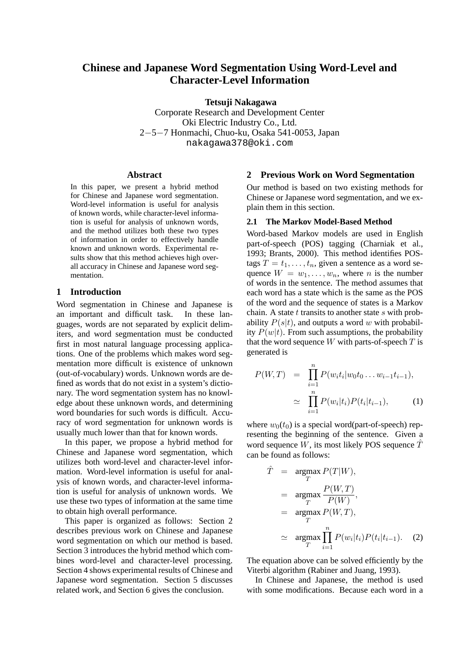# **Chinese and Japanese Word Segmentation Using Word-Level and Character-Level Information**

**Tetsuji Nakagawa**

Corporate Research and Development Center Oki Electric Industry Co., Ltd. 2−5−7 Honmachi, Chuo-ku, Osaka 541-0053, Japan nakagawa378@oki.com

#### **Abstract**

In this paper, we present a hybrid method for Chinese and Japanese word segmentation. Word-level information is useful for analysis of known words, while character-level information is useful for analysis of unknown words, and the method utilizes both these two types of information in order to effectively handle known and unknown words. Experimental results show that this method achieves high overall accuracy in Chinese and Japanese word segmentation.

#### **1 Introduction**

Word segmentation in Chinese and Japanese is an important and difficult task. In these languages, words are not separated by explicit delimiters, and word segmentation must be conducted first in most natural language processing applications. One of the problems which makes word segmentation more difficult is existence of unknown (out-of-vocabulary) words. Unknown words are defined as words that do not exist in a system's dictionary. The word segmentation system has no knowledge about these unknown words, and determining word boundaries for such words is difficult. Accuracy of word segmentation for unknown words is usually much lower than that for known words.

In this paper, we propose a hybrid method for Chinese and Japanese word segmentation, which utilizes both word-level and character-level information. Word-level information is useful for analysis of known words, and character-level information is useful for analysis of unknown words. We use these two types of information at the same time to obtain high overall performance.

This paper is organized as follows: Section 2 describes previous work on Chinese and Japanese word segmentation on which our method is based. Section 3 introduces the hybrid method which combines word-level and character-level processing. Section 4 shows experimental results of Chinese and Japanese word segmentation. Section 5 discusses related work, and Section 6 gives the conclusion.

#### **2 Previous Work on Word Segmentation**

Our method is based on two existing methods for Chinese or Japanese word segmentation, and we explain them in this section.

#### **2.1 The Markov Model-Based Method**

Word-based Markov models are used in English part-of-speech (POS) tagging (Charniak et al., 1993; Brants, 2000). This method identifies POStags  $T = t_1, \ldots, t_n$ , given a sentence as a word sequence  $W = w_1, \dots, w_n$ , where *n* is the number of words in the sentence. The method assumes that each word has a state which is the same as the POS of the word and the sequence of states is a Markov chain. A state  $t$  transits to another state  $s$  with probability  $P(s|t)$ , and outputs a word w with probability  $P(w|t)$ . From such assumptions, the probability that the word sequence  $W$  with parts-of-speech  $T$  is generated is

$$
P(W,T) = \prod_{i=1}^{n} P(w_i t_i | w_0 t_0 \dots w_{i-1} t_{i-1}),
$$
  
\n
$$
\simeq \prod_{i=1}^{n} P(w_i | t_i) P(t_i | t_{i-1}),
$$
 (1)

where  $w_0(t_0)$  is a special word(part-of-speech) representing the beginning of the sentence. Given a word sequence W, its most likely POS sequence  $\hat{T}$ can be found as follows:

$$
\hat{T} = \underset{T}{\operatorname{argmax}} P(T|W),
$$
\n
$$
= \underset{T}{\operatorname{argmax}} \frac{P(W,T)}{P(W)},
$$
\n
$$
= \underset{T}{\operatorname{argmax}} P(W,T),
$$
\n
$$
\approx \underset{T}{\operatorname{argmax}} \prod_{i=1}^{n} P(w_i|t_i) P(t_i|t_{i-1}).
$$
\n(2)

The equation above can be solved efficiently by the Viterbi algorithm (Rabiner and Juang, 1993).

In Chinese and Japanese, the method is used with some modifications. Because each word in a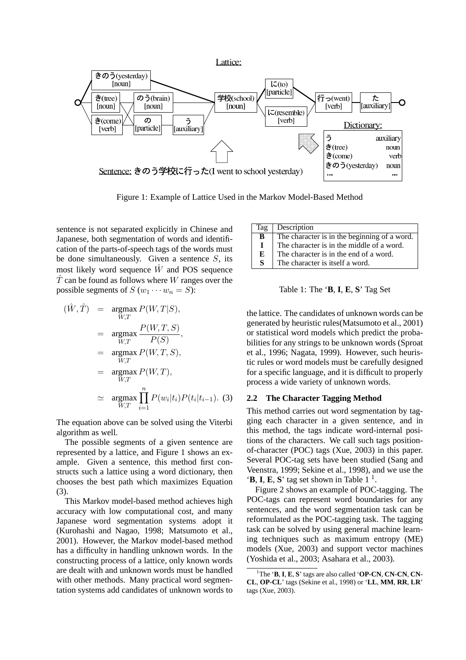

Figure 1: Example of Lattice Used in the Markov Model-Based Method

sentence is not separated explicitly in Chinese and Japanese, both segmentation of words and identification of the parts-of-speech tags of the words must be done simultaneously. Given a sentence  $S$ , its most likely word sequence  $\hat{W}$  and POS sequence  $\hat{T}$  can be found as follows where W ranges over the possible segments of  $S(w_1 \cdots w_n = S)$ :

$$
(\hat{W}, \hat{T}) = \underset{W,T}{\operatorname{argmax}} P(W, T|S),
$$
  
\n
$$
= \underset{W,T}{\operatorname{argmax}} \frac{P(W, T, S)}{P(S)},
$$
  
\n
$$
= \underset{W,T}{\operatorname{argmax}} P(W, T, S),
$$
  
\n
$$
= \underset{W,T}{\operatorname{argmax}} P(W, T),
$$
  
\n
$$
\approx \underset{W,T}{\operatorname{argmax}} \prod_{i=1}^{n} P(w_i|t_i) P(t_i|t_{i-1}).
$$
 (3)

The equation above can be solved using the Viterbi algorithm as well.

The possible segments of a given sentence are represented by a lattice, and Figure 1 shows an example. Given a sentence, this method first constructs such a lattice using a word dictionary, then chooses the best path which maximizes Equation (3).

This Markov model-based method achieves high accuracy with low computational cost, and many Japanese word segmentation systems adopt it (Kurohashi and Nagao, 1998; Matsumoto et al., 2001). However, the Markov model-based method has a difficulty in handling unknown words. In the constructing process of a lattice, only known words are dealt with and unknown words must be handled with other methods. Many practical word segmentation systems add candidates of unknown words to

| Tag | Description                                  |
|-----|----------------------------------------------|
| B   | The character is in the beginning of a word. |
| I   | The character is in the middle of a word.    |
| Е   | The character is in the end of a word.       |
| S   | The character is itself a word.              |

Table 1: The '**B**, **I**, **E**, **S**' Tag Set

the lattice. The candidates of unknown words can be generated by heuristic rules(Matsumoto et al., 2001) or statistical word models which predict the probabilities for any strings to be unknown words (Sproat et al., 1996; Nagata, 1999). However, such heuristic rules or word models must be carefully designed for a specific language, and it is difficult to properly process a wide variety of unknown words.

#### **2.2 The Character Tagging Method**

This method carries out word segmentation by tagging each character in a given sentence, and in this method, the tags indicate word-internal positions of the characters. We call such tags positionof-character (POC) tags (Xue, 2003) in this paper. Several POC-tag sets have been studied (Sang and Veenstra, 1999; Sekine et al., 1998), and we use the  $\mathbf{F} \cdot \mathbf{B}$ , **I**, **E**, **S**' tag set shown in Table 1<sup>1</sup>.

Figure 2 shows an example of POC-tagging. The POC-tags can represent word boundaries for any sentences, and the word segmentation task can be reformulated as the POC-tagging task. The tagging task can be solved by using general machine learning techniques such as maximum entropy (ME) models (Xue, 2003) and support vector machines (Yoshida et al., 2003; Asahara et al., 2003).

<sup>1</sup>The '**B**, **I**, **E**, **S**' tags are also called '**OP-CN**, **CN-CN**, **CN-CL**, **OP-CL**' tags (Sekine et al., 1998) or '**LL**, **MM**, **RR**, **LR**' tags (Xue, 2003).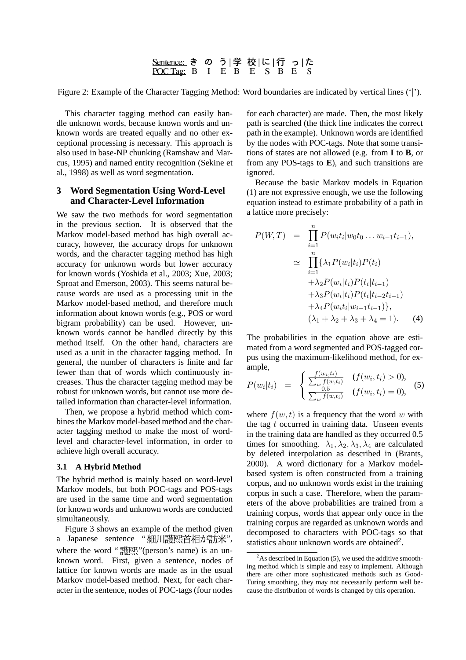# <u>Sentence:</u> き の う|学 校|に|行 っ|た<br><u>POC Tag:</u> B I E B E S B E S

Figure 2: Example of the Character Tagging Method: Word boundaries are indicated by vertical lines ('|').

This character tagging method can easily handle unknown words, because known words and unknown words are treated equally and no other exceptional processing is necessary. This approach is also used in base-NP chunking (Ramshaw and Marcus, 1995) and named entity recognition (Sekine et al., 1998) as well as word segmentation.

### **3 Word Segmentation Using Word-Level and Character-Level Information**

We saw the two methods for word segmentation in the previous section. It is observed that the Markov model-based method has high overall accuracy, however, the accuracy drops for unknown words, and the character tagging method has high accuracy for unknown words but lower accuracy for known words (Yoshida et al., 2003; Xue, 2003; Sproat and Emerson, 2003). This seems natural because words are used as a processing unit in the Markov model-based method, and therefore much information about known words (e.g., POS or word bigram probability) can be used. However, unknown words cannot be handled directly by this method itself. On the other hand, characters are used as a unit in the character tagging method. In general, the number of characters is finite and far fewer than that of words which continuously increases. Thus the character tagging method may be robust for unknown words, but cannot use more detailed information than character-level information.

Then, we propose a hybrid method which combines the Markov model-based method and the character tagging method to make the most of wordlevel and character-level information, in order to achieve high overall accuracy.

#### **3.1 A Hybrid Method**

The hybrid method is mainly based on word-level Markov models, but both POC-tags and POS-tags are used in the same time and word segmentation for known words and unknown words are conducted simultaneously.

Figure 3 shows an example of the method given a Japanese sentence "細川護熙首相が訪米", where the word " $\mathbb{R}^m$ "(person's name) is an unknown word. First, given a sentence, nodes of lattice for known words are made as in the usual Markov model-based method. Next, for each character in the sentence, nodes of POC-tags (four nodes for each character) are made. Then, the most likely path is searched (the thick line indicates the correct path in the example). Unknown words are identified by the nodes with POC-tags. Note that some transitions of states are not allowed (e.g. from **I** to **B**, or from any POS-tags to **E**), and such transitions are ignored.

Because the basic Markov models in Equation (1) are not expressive enough, we use the following equation instead to estimate probability of a path in a lattice more precisely:

$$
P(W,T) = \prod_{i=1}^{n} P(w_i t_i | w_0 t_0 \dots w_{i-1} t_{i-1}),
$$
  
\n
$$
\simeq \prod_{i=1}^{n} \{\lambda_1 P(w_i | t_i) P(t_i) + \lambda_2 P(w_i | t_i) P(t_i | t_{i-1}) + \lambda_3 P(w_i | t_i) P(t_i | t_{i-2} t_{i-1}) + \lambda_4 P(w_i t_i | w_{i-1} t_{i-1})\},
$$
  
\n
$$
(\lambda_1 + \lambda_2 + \lambda_3 + \lambda_4 = 1).
$$
 (4)

The probabilities in the equation above are estimated from a word segmented and POS-tagged corpus using the maximum-likelihood method, for example,  $\overline{a}$  $\epsilon$   $\ell$ 

$$
P(w_i|t_i) = \begin{cases} \frac{f(w_i,t_i)}{\sum_{w} f(w,t_i)} & (f(w_i,t_i) > 0), \\ \frac{0.5}{\sum_{w} f(w,t_i)} & (f(w_i,t_i) = 0), \end{cases}
$$
(5)

where  $f(w, t)$  is a frequency that the word w with the tag  $t$  occurred in training data. Unseen events in the training data are handled as they occurred 0.5 times for smoothing.  $\lambda_1, \lambda_2, \lambda_3, \lambda_4$  are calculated by deleted interpolation as described in (Brants, 2000). A word dictionary for a Markov modelbased system is often constructed from a training corpus, and no unknown words exist in the training corpus in such a case. Therefore, when the parameters of the above probabilities are trained from a training corpus, words that appear only once in the training corpus are regarded as unknown words and decomposed to characters with POC-tags so that statistics about unknown words are obtained<sup>2</sup>.

 $2^2$ As described in Equation (5), we used the additive smoothing method which is simple and easy to implement. Although there are other more sophisticated methods such as Good-Turing smoothing, they may not necessarily perform well because the distribution of words is changed by this operation.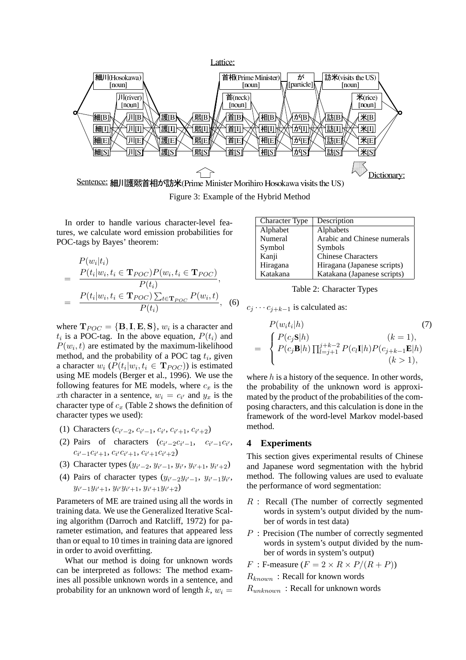

Figure 3: Example of the Hybrid Method

In order to handle various character-level features, we calculate word emission probabilities for POC-tags by Bayes' theorem:

$$
P(w_i|t_i)
$$
  
= 
$$
\frac{P(t_i|w_i, t_i \in \mathbf{T}_{POC}) P(w_i, t_i \in \mathbf{T}_{POC})}{P(t_i)},
$$
  
= 
$$
\frac{P(t_i|w_i, t_i \in \mathbf{T}_{POC}) \sum_{t \in \mathbf{T}_{POC}} P(w_i, t)}{P(t_i)},
$$
 (6)

where  $\mathbf{T}_{POC} = \{ \mathbf{B}, \mathbf{I}, \mathbf{E}, \mathbf{S} \}$ ,  $w_i$  is a character and  $t_i$  is a POC-tag. In the above equation,  $P(t_i)$  and  $P(w_i, t)$  are estimated by the maximum-likelihood method, and the probability of a POC tag  $t_i$ , given a character  $w_i$  ( $P(t_i|w_i, t_i \in \mathbf{T}_{POC})$ ) is estimated using ME models (Berger et al., 1996). We use the following features for ME models, where  $c_x$  is the xth character in a sentence,  $w_i = c_{i'}$  and  $y_x$  is the character type of  $c_x$  (Table 2 shows the definition of character types we used):

- (1) Characters  $(c_{i'-2}, c_{i'-1}, c_{i'}, c_{i'+1}, c_{i'+2})$
- (2) Pairs of characters  $(c_{i'-2}c_{i'-1}, c_{i'-1}c_{i'},$  $c_{i'-1}c_{i'+1}, c_{i'}c_{i'+1}, c_{i'+1}c_{i'+2})$
- (3) Character types  $(y_{i'-2}, y_{i'-1}, y_{i'}, y_{i'+1}, y_{i'+2})$
- (4) Pairs of character types  $(y_{i'-2}y_{i'-1}, y_{i'-1}y_{i'})$  $y_{i'-1}y_{i'+1}, y_{i'}y_{i'+1}, y_{i'+1}y_{i'+2})$

Parameters of ME are trained using all the words in training data. We use the Generalized Iterative Scaling algorithm (Darroch and Ratcliff, 1972) for parameter estimation, and features that appeared less than or equal to 10 times in training data are ignored in order to avoid overfitting.

What our method is doing for unknown words can be interpreted as follows: The method examines all possible unknown words in a sentence, and probability for an unknown word of length  $k, w_i =$ 

| <b>Character Type</b> | Description                 |
|-----------------------|-----------------------------|
| Alphabet              | Alphabets                   |
| Numeral               | Arabic and Chinese numerals |
| Symbol                | Symbols                     |
| Kanji                 | <b>Chinese Characters</b>   |
| Hiragana              | Hiragana (Japanese scripts) |
| Katakana              | Katakana (Japanese scripts) |

Table 2: Character Types

 $c_j \cdots c_{j+k-1}$  is calculated as:

$$
P(w_i t_i | h)
$$
\n
$$
= \begin{cases}\nP(c_j \mathbf{S} | h) & (k = 1), \\
P(c_j \mathbf{B} | h) \prod_{l=j+1}^{j+k-2} P(c_l \mathbf{I} | h) P(c_{j+k-1} \mathbf{E} | h) \\
(k > 1),\n\end{cases}
$$
\n
$$
(7)
$$

where  $h$  is a history of the sequence. In other words, the probability of the unknown word is approximated by the product of the probabilities of the composing characters, and this calculation is done in the framework of the word-level Markov model-based method.

## **4 Experiments**

This section gives experimental results of Chinese and Japanese word segmentation with the hybrid method. The following values are used to evaluate the performance of word segmentation:

- $R$ : Recall (The number of correctly segmented words in system's output divided by the number of words in test data)
- P : Precision (The number of correctly segmented words in system's output divided by the number of words in system's output)

F : F-measure  $(F = 2 \times R \times P/(R + P))$ 

 $R_{known}$ : Recall for known words

 $R_{unknown}$ : Recall for unknown words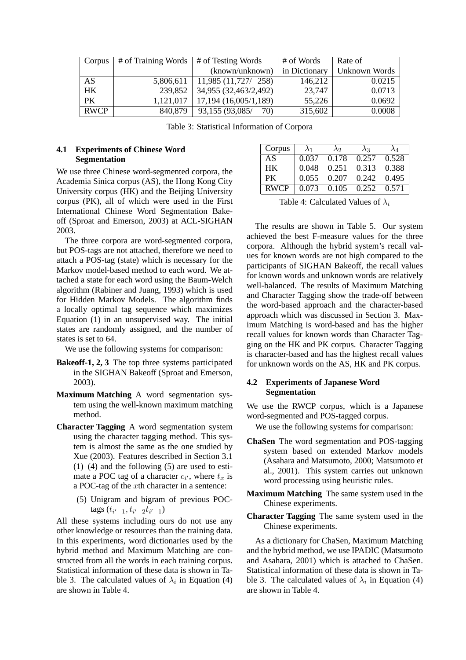| Corpus      | $\#$ of Training Words $\#$ of Testing Words |                        | # of Words    | Rate of       |  |
|-------------|----------------------------------------------|------------------------|---------------|---------------|--|
|             |                                              | (known/unknown)        | in Dictionary | Unknown Words |  |
| AS          | 5,806,611                                    | 11,985(11,727/258)     | 146,212       | 0.0215        |  |
| HK          | 239.852                                      | 34,955 (32,463/2,492)  | 23,747        | 0.0713        |  |
| PК          | 1,121,017                                    | 17,194 (16,005/1,189)  | 55,226        | 0.0692        |  |
| <b>RWCP</b> | 840,879                                      | 93,155 (93,085/<br>70) | 315,602       | 0.0008        |  |

Table 3: Statistical Information of Corpora

# **4.1 Experiments of Chinese Word Segmentation**

We use three Chinese word-segmented corpora, the Academia Sinica corpus (AS), the Hong Kong City University corpus (HK) and the Beijing University corpus (PK), all of which were used in the First International Chinese Word Segmentation Bakeoff (Sproat and Emerson, 2003) at ACL-SIGHAN 2003.

The three corpora are word-segmented corpora, but POS-tags are not attached, therefore we need to attach a POS-tag (state) which is necessary for the Markov model-based method to each word. We attached a state for each word using the Baum-Welch algorithm (Rabiner and Juang, 1993) which is used for Hidden Markov Models. The algorithm finds a locally optimal tag sequence which maximizes Equation (1) in an unsupervised way. The initial states are randomly assigned, and the number of states is set to 64.

We use the following systems for comparison:

- **Bakeoff-1, 2, 3** The top three systems participated in the SIGHAN Bakeoff (Sproat and Emerson, 2003).
- **Maximum Matching** A word segmentation system using the well-known maximum matching method.
- **Character Tagging** A word segmentation system using the character tagging method. This system is almost the same as the one studied by Xue (2003). Features described in Section 3.1  $(1)$ – $(4)$  and the following  $(5)$  are used to estimate a POC tag of a character  $c_{i'}$ , where  $t_x$  is a POC-tag of the xth character in a sentence:
	- (5) Unigram and bigram of previous POCtags  $(t_{i'-1}, t_{i'-2}t_{i'-1})$

All these systems including ours do not use any other knowledge or resources than the training data. In this experiments, word dictionaries used by the hybrid method and Maximum Matching are constructed from all the words in each training corpus. Statistical information of these data is shown in Table 3. The calculated values of  $\lambda_i$  in Equation (4) are shown in Table 4.

| Corpus      | $\lambda_1$ | $\lambda$ <sub>2</sub> | $\lambda_3$ | $\lambda_{\rm A}$ |
|-------------|-------------|------------------------|-------------|-------------------|
| AS          | 0.037       | 0.178                  | 0.257       | 0.528             |
| HK.         | 0.048       | 0.251                  | 0.313       | 0.388             |
| PK.         | 0.055       | 0.207                  | 0.242       | 0.495             |
| <b>RWCP</b> | 0.073       | 0.105                  | 0.252       | 0.571             |

Table 4: Calculated Values of  $\lambda_i$ 

The results are shown in Table 5. Our system achieved the best F-measure values for the three corpora. Although the hybrid system's recall values for known words are not high compared to the participants of SIGHAN Bakeoff, the recall values for known words and unknown words are relatively well-balanced. The results of Maximum Matching and Character Tagging show the trade-off between the word-based approach and the character-based approach which was discussed in Section 3. Maximum Matching is word-based and has the higher recall values for known words than Character Tagging on the HK and PK corpus. Character Tagging is character-based and has the highest recall values for unknown words on the AS, HK and PK corpus.

# **4.2 Experiments of Japanese Word Segmentation**

We use the RWCP corpus, which is a Japanese word-segmented and POS-tagged corpus.

We use the following systems for comparison:

- **ChaSen** The word segmentation and POS-tagging system based on extended Markov models (Asahara and Matsumoto, 2000; Matsumoto et al., 2001). This system carries out unknown word processing using heuristic rules.
- **Maximum Matching** The same system used in the Chinese experiments.
- **Character Tagging** The same system used in the Chinese experiments.

As a dictionary for ChaSen, Maximum Matching and the hybrid method, we use IPADIC (Matsumoto and Asahara, 2001) which is attached to ChaSen. Statistical information of these data is shown in Table 3. The calculated values of  $\lambda_i$  in Equation (4) are shown in Table 4.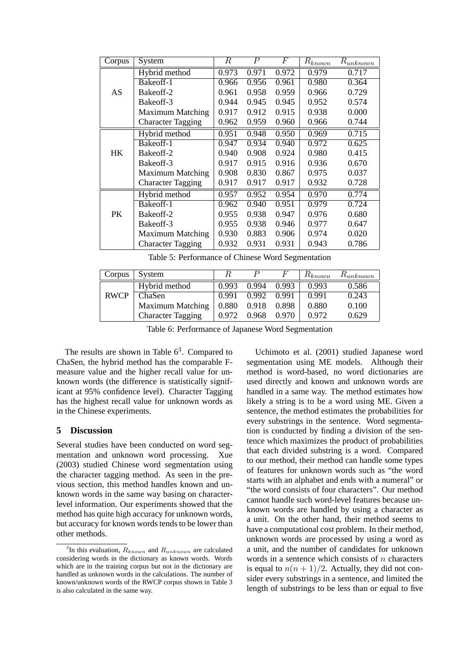| Corpus    | System                   | R     | $\, P \,$ | F     | $R_{known}$ | $R_{unknown}$ |
|-----------|--------------------------|-------|-----------|-------|-------------|---------------|
|           | Hybrid method            | 0.973 | 0.971     | 0.972 | 0.979       | 0.717         |
|           | Bakeoff-1                | 0.966 | 0.956     | 0.961 | 0.980       | 0.364         |
| AS        | Bakeoff-2                | 0.961 | 0.958     | 0.959 | 0.966       | 0.729         |
|           | Bake of f-3              | 0.944 | 0.945     | 0.945 | 0.952       | 0.574         |
|           | <b>Maximum Matching</b>  | 0.917 | 0.912     | 0.915 | 0.938       | 0.000         |
|           | <b>Character Tagging</b> | 0.962 | 0.959     | 0.960 | 0.966       | 0.744         |
| HK        | Hybrid method            | 0.951 | 0.948     | 0.950 | 0.969       | 0.715         |
|           | Bakeoff-1                | 0.947 | 0.934     | 0.940 | 0.972       | 0.625         |
|           | Bakeoff-2                | 0.940 | 0.908     | 0.924 | 0.980       | 0.415         |
|           | Bakeoff-3                | 0.917 | 0.915     | 0.916 | 0.936       | 0.670         |
|           | <b>Maximum Matching</b>  | 0.908 | 0.830     | 0.867 | 0.975       | 0.037         |
|           | <b>Character Tagging</b> | 0.917 | 0.917     | 0.917 | 0.932       | 0.728         |
| <b>PK</b> | Hybrid method            | 0.957 | 0.952     | 0.954 | 0.970       | 0.774         |
|           | Bakeoff-1                | 0.962 | 0.940     | 0.951 | 0.979       | 0.724         |
|           | Bakeoff-2                | 0.955 | 0.938     | 0.947 | 0.976       | 0.680         |
|           | Bake of f-3              | 0.955 | 0.938     | 0.946 | 0.977       | 0.647         |
|           | <b>Maximum Matching</b>  | 0.930 | 0.883     | 0.906 | 0.974       | 0.020         |
|           | <b>Character Tagging</b> | 0.932 | 0.931     | 0.931 | 0.943       | 0.786         |

| Corpus      | System                   |       |       | H'    | $R_{known}$ | $R_{unknown}$ |
|-------------|--------------------------|-------|-------|-------|-------------|---------------|
|             | Hybrid method            | 0.993 | 0.994 | 0.993 | 0.993       | 0.586         |
| <b>RWCP</b> | ChaSen                   | 0.991 | 0.992 | 0.991 | 0.991       | 0.243         |
|             | <b>Maximum Matching</b>  | 0.880 | 0.918 | 0.898 | 0.880       | 0.100         |
|             | <b>Character Tagging</b> | 0.972 | 0.968 | 0.970 | 0.972       | 0.629         |

Table 6: Performance of Japanese Word Segmentation

The results are shown in Table  $6<sup>3</sup>$ . Compared to ChaSen, the hybrid method has the comparable Fmeasure value and the higher recall value for unknown words (the difference is statistically significant at 95% confidence level). Character Tagging has the highest recall value for unknown words as in the Chinese experiments.

# **5 Discussion**

Several studies have been conducted on word segmentation and unknown word processing. Xue (2003) studied Chinese word segmentation using the character tagging method. As seen in the previous section, this method handles known and unknown words in the same way basing on characterlevel information. Our experiments showed that the method has quite high accuracy for unknown words, but accuracy for known words tends to be lower than other methods.

Uchimoto et al. (2001) studied Japanese word segmentation using ME models. Although their method is word-based, no word dictionaries are used directly and known and unknown words are handled in a same way. The method estimates how likely a string is to be a word using ME. Given a sentence, the method estimates the probabilities for every substrings in the sentence. Word segmentation is conducted by finding a division of the sentence which maximizes the product of probabilities that each divided substring is a word. Compared to our method, their method can handle some types of features for unknown words such as "the word starts with an alphabet and ends with a numeral" or "the word consists of four characters". Our method cannot handle such word-level features because unknown words are handled by using a character as a unit. On the other hand, their method seems to have a computational cost problem. In their method, unknown words are processed by using a word as a unit, and the number of candidates for unknown words in a sentence which consists of  $n$  characters is equal to  $n(n + 1)/2$ . Actually, they did not consider every substrings in a sentence, and limited the length of substrings to be less than or equal to five

<sup>&</sup>lt;sup>3</sup>In this evaluation,  $R_{known}$  and  $R_{unknown}$  are calculated considering words in the dictionary as known words. Words which are in the training corpus but not in the dictionary are handled as unknown words in the calculations. The number of known/unknown words of the RWCP corpus shown in Table 3 is also calculated in the same way.